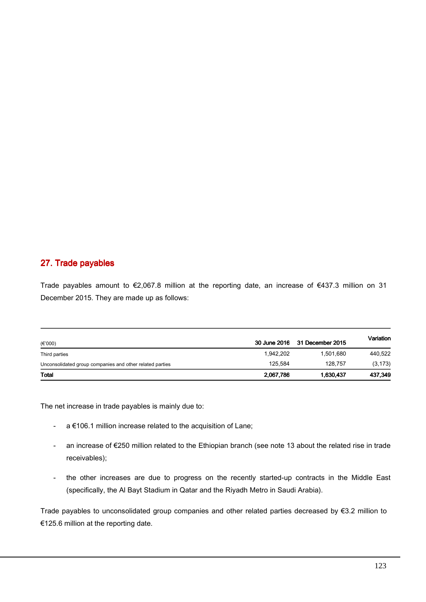## 27. Trade payables

Trade payables amount to €2,067.8 million at the reporting date, an increase of €437.3 million on 31 December 2015. They are made up as follows:

| $(\epsilon$ '000)                                        | 30 June 2016 | 31 December 2015 | Variation |
|----------------------------------------------------------|--------------|------------------|-----------|
| Third parties                                            | 1,942,202    | 1,501,680        | 440,522   |
| Unconsolidated group companies and other related parties | 125.584      | 128.757          | (3, 173)  |
| <b>Total</b>                                             | 2,067,786    | 1,630,437        | 437,349   |

The net increase in trade payables is mainly due to:

- a €106.1 million increase related to the acquisition of Lane;
- an increase of €250 million related to the Ethiopian branch (see note 13 about the related rise in trade receivables);
- the other increases are due to progress on the recently started-up contracts in the Middle East (specifically, the Al Bayt Stadium in Qatar and the Riyadh Metro in Saudi Arabia).

Trade payables to unconsolidated group companies and other related parties decreased by €3.2 million to €125.6 million at the reporting date.